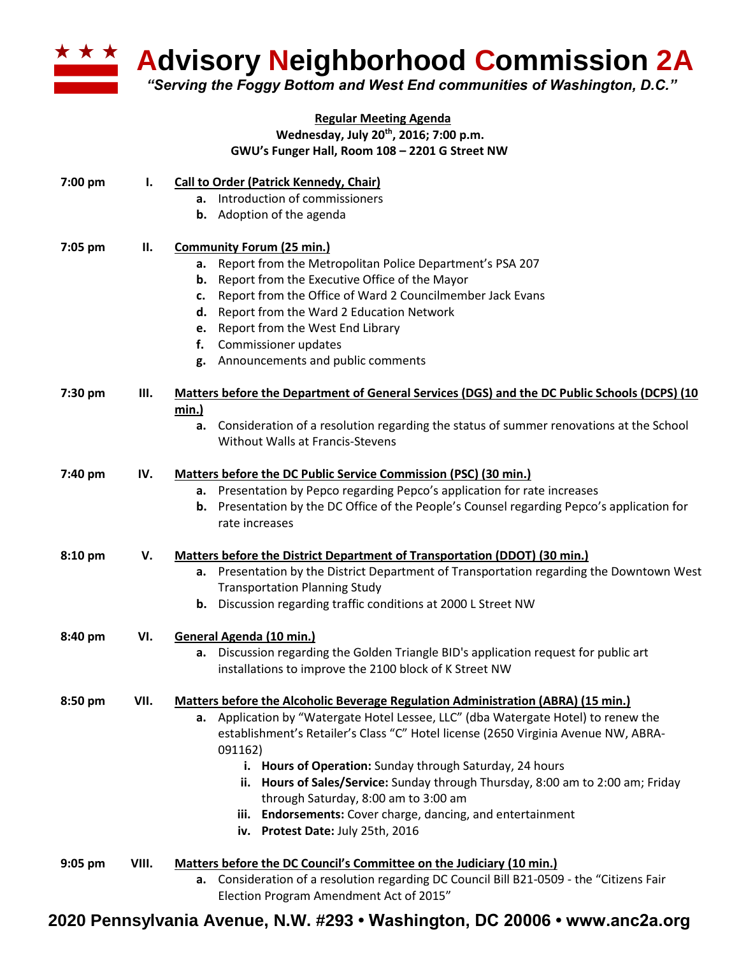

**Advisory Neighborhood Commission 2A** 

*"Serving the Foggy Bottom and West End communities of Washington, D.C."*

## **Regular Meeting Agenda Wednesday, July 20th, 2016; 7:00 p.m. GWU's Funger Hall, Room 108 – 2201 G Street NW**

| 7:00 pm   | Ι.    | <b>Call to Order (Patrick Kennedy, Chair)</b>                                                                                       |
|-----------|-------|-------------------------------------------------------------------------------------------------------------------------------------|
|           |       | Introduction of commissioners<br>а.                                                                                                 |
|           |       | Adoption of the agenda<br>b.                                                                                                        |
| 7:05 pm   | П.    | <b>Community Forum (25 min.)</b>                                                                                                    |
|           |       | Report from the Metropolitan Police Department's PSA 207<br>а.                                                                      |
|           |       | Report from the Executive Office of the Mayor<br>b.                                                                                 |
|           |       | Report from the Office of Ward 2 Councilmember Jack Evans<br>c.                                                                     |
|           |       | Report from the Ward 2 Education Network<br>d.                                                                                      |
|           |       | Report from the West End Library<br>e.                                                                                              |
|           |       | Commissioner updates<br>f.                                                                                                          |
|           |       | Announcements and public comments<br>g.                                                                                             |
| 7:30 pm   | III.  | Matters before the Department of General Services (DGS) and the DC Public Schools (DCPS) (10<br>min.)                               |
|           |       | Consideration of a resolution regarding the status of summer renovations at the School<br>а.                                        |
|           |       | <b>Without Walls at Francis-Stevens</b>                                                                                             |
| 7:40 pm   | IV.   | <b>Matters before the DC Public Service Commission (PSC) (30 min.)</b>                                                              |
|           |       | a. Presentation by Pepco regarding Pepco's application for rate increases                                                           |
|           |       | Presentation by the DC Office of the People's Counsel regarding Pepco's application for<br>b.                                       |
|           |       | rate increases                                                                                                                      |
| 8:10 pm   | V.    | Matters before the District Department of Transportation (DDOT) (30 min.)                                                           |
|           |       | Presentation by the District Department of Transportation regarding the Downtown West<br>а.<br><b>Transportation Planning Study</b> |
|           |       | Discussion regarding traffic conditions at 2000 L Street NW<br>b.                                                                   |
| 8:40 pm   | VI.   | General Agenda (10 min.)                                                                                                            |
|           |       | a. Discussion regarding the Golden Triangle BID's application request for public art                                                |
|           |       | installations to improve the 2100 block of K Street NW                                                                              |
| $8:50$ pm | VII.  | <b>Matters before the Alcoholic Beverage Regulation Administration (ABRA) (15 min.)</b>                                             |
|           |       | a. Application by "Watergate Hotel Lessee, LLC" (dba Watergate Hotel) to renew the                                                  |
|           |       | establishment's Retailer's Class "C" Hotel license (2650 Virginia Avenue NW, ABRA-<br>091162)                                       |
|           |       | i. Hours of Operation: Sunday through Saturday, 24 hours                                                                            |
|           |       | ii. Hours of Sales/Service: Sunday through Thursday, 8:00 am to 2:00 am; Friday                                                     |
|           |       | through Saturday, 8:00 am to 3:00 am                                                                                                |
|           |       | iii. Endorsements: Cover charge, dancing, and entertainment                                                                         |
|           |       | iv. Protest Date: July 25th, 2016                                                                                                   |
| $9:05$ pm | VIII. | Matters before the DC Council's Committee on the Judiciary (10 min.)                                                                |
|           |       | a. Consideration of a resolution regarding DC Council Bill B21-0509 - the "Citizens Fair                                            |
|           |       | Election Program Amendment Act of 2015"                                                                                             |

## **2020 Pennsylvania Avenue, N.W. #293 • Washington, DC 20006 • www.anc2a.org**